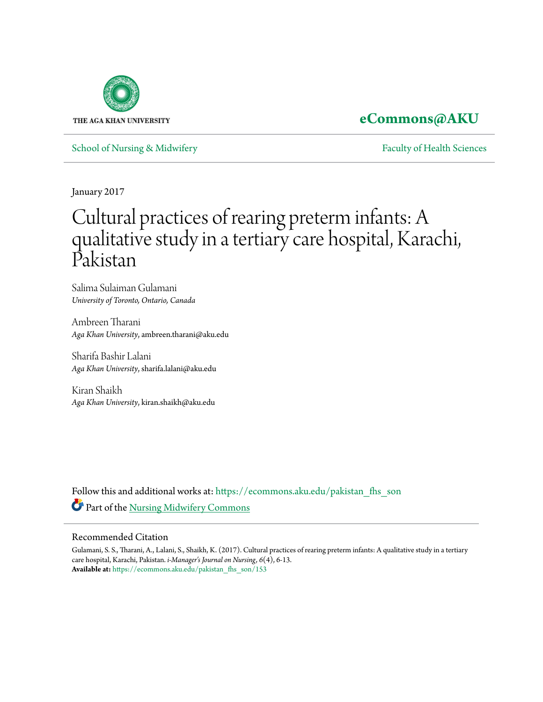

### **[eCommons@AKU](https://ecommons.aku.edu?utm_source=ecommons.aku.edu%2Fpakistan_fhs_son%2F153&utm_medium=PDF&utm_campaign=PDFCoverPages)**

[School of Nursing & Midwifery](https://ecommons.aku.edu/pakistan_fhs_son?utm_source=ecommons.aku.edu%2Fpakistan_fhs_son%2F153&utm_medium=PDF&utm_campaign=PDFCoverPages) **[Faculty of Health Sciences](https://ecommons.aku.edu/pakistan_fhs?utm_source=ecommons.aku.edu%2Fpakistan_fhs_son%2F153&utm_medium=PDF&utm_campaign=PDFCoverPages)** Faculty of Health Sciences

January 2017

# Cultural practices of rearing preterm infants: A qualitative study in a tertiary care hospital, Karachi, Pakistan

Salima Sulaiman Gulamani *University of Toronto, Ontario, Canada*

Ambreen Tharani *Aga Khan University*, ambreen.tharani@aku.edu

Sharifa Bashir Lalani *Aga Khan University*, sharifa.lalani@aku.edu

Kiran Shaikh *Aga Khan University*, kiran.shaikh@aku.edu

Follow this and additional works at: [https://ecommons.aku.edu/pakistan\\_fhs\\_son](https://ecommons.aku.edu/pakistan_fhs_son?utm_source=ecommons.aku.edu%2Fpakistan_fhs_son%2F153&utm_medium=PDF&utm_campaign=PDFCoverPages) Part of the [Nursing Midwifery Commons](http://network.bepress.com/hgg/discipline/722?utm_source=ecommons.aku.edu%2Fpakistan_fhs_son%2F153&utm_medium=PDF&utm_campaign=PDFCoverPages)

### Recommended Citation

Gulamani, S. S., Tharani, A., Lalani, S., Shaikh, K. (2017). Cultural practices of rearing preterm infants: A qualitative study in a tertiary care hospital, Karachi, Pakistan. *i-Manager's Journal on Nursing, 6*(4), 6-13. **Available at:** [https://ecommons.aku.edu/pakistan\\_fhs\\_son/153](https://ecommons.aku.edu/pakistan_fhs_son/153)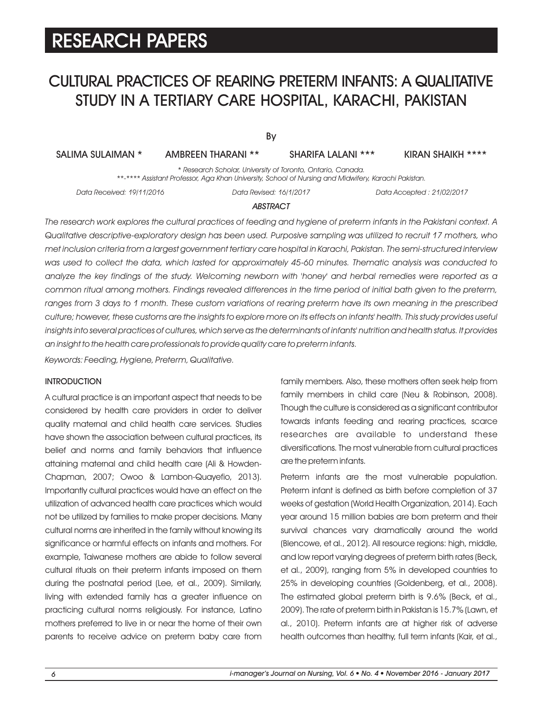# CULTURAL PRACTICES OF REARING PRETERM INFANTS: A QUALITATIVE STUDY IN A TERTIARY CARE HOSPITAL, KARACHI, PAKISTAN

By

SHARIFA LALANI \*\*\*

SALIMA SULAIMAN \* AMBREEN THARANI \*\* SHARIFA LALANI \*\*\* KIRAN SHAIKH \*\*\*\*

*\* Research Scholar, University of Toronto, Ontario, Canada. \*\*-\*\*\*\* Assistant Professor, Aga Khan University, School of Nursing and Midwifery, Karachi Pakistan.*

*Data Received: 19/11/2016 Data Revised: 16/1/2017 Data Accepted : 21/02/2017*

### *ABSTRACT*

*The research work explores the cultural practices of feeding and hygiene of preterm infants in the Pakistani context. A Qualitative descriptive-exploratory design has been used. Purposive sampling was utilized to recruit 17 mothers, who met inclusion criteria from a largest government tertiary care hospital in Karachi, Pakistan. The semi-structured interview was used to collect the data, which lasted for approximately 45-60 minutes. Thematic analysis was conducted to analyze the key findings of the study. Welcoming newborn with 'honey' and herbal remedies were reported as a common ritual among mothers. Findings revealed differences in the time period of initial bath given to the preterm,*  ranges from 3 days to 1 month. These custom variations of rearing preterm have its own meaning in the prescribed *culture; however, these customs are the insights to explore more on its effects on infants' health. This study provides useful insights into several practices of cultures, which serve as the determinants of infants' nutrition and health status. It provides an insight to the health care professionals to provide quality care to preterm infants.*

*Keywords: Feeding, Hygiene, Preterm, Qualitative.*

#### **INTRODUCTION**

A cultural practice is an important aspect that needs to be considered by health care providers in order to deliver quality maternal and child health care services. Studies have shown the association between cultural practices, its belief and norms and family behaviors that influence attaining maternal and child health care (Ali & Howden-Chapman, 2007; Owoo & Lambon-Quayefio, 2013). Importantly cultural practices would have an effect on the utilization of advanced health care practices which would not be utilized by families to make proper decisions. Many cultural norms are inherited in the family without knowing its significance or harmful effects on infants and mothers. For example, Taiwanese mothers are abide to follow several cultural rituals on their preterm infants imposed on them during the postnatal period (Lee, et al., 2009). Similarly, living with extended family has a greater influence on practicing cultural norms religiously. For instance, Latino mothers preferred to live in or near the home of their own parents to receive advice on preterm baby care from family members. Also, these mothers often seek help from family members in child care (Neu & Robinson, 2008). Though the culture is considered as a significant contributor towards infants feeding and rearing practices, scarce researches are available to understand these diversifications. The most vulnerable from cultural practices are the preterm infants.

Preterm infants are the most vulnerable population. Preterm infant is defined as birth before completion of 37 weeks of gestation (World Health Organization, 2014). Each year around 15 million babies are born preterm and their survival chances vary dramatically around the world (Blencowe, et al., 2012). All resource regions: high, middle, and low report varying degrees of preterm birth rates (Beck, et al., 2009), ranging from 5% in developed countries to 25% in developing countries (Goldenberg, et al., 2008). The estimated global preterm birth is 9.6% (Beck, et al., 2009). The rate of preterm birth in Pakistan is 15.7% (Lawn, et al., 2010). Preterm infants are at higher risk of adverse health outcomes than healthy, full term infants (Kair, et al.,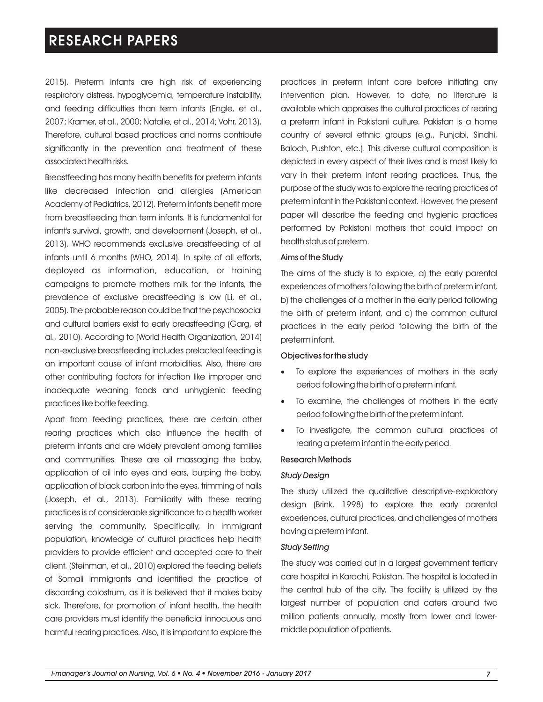2015). Preterm infants are high risk of experiencing respiratory distress, hypoglycemia, temperature instability, and feeding difficulties than term infants (Engle, et al., 2007; Kramer, et al., 2000; Natalie, et al., 2014; Vohr, 2013). Therefore, cultural based practices and norms contribute significantly in the prevention and treatment of these associated health risks.

Breastfeeding has many health benefits for preterm infants like decreased infection and allergies (American Academy of Pediatrics, 2012). Preterm infants benefit more from breastfeeding than term infants. It is fundamental for infant's survival, growth, and development (Joseph, et al., 2013). WHO recommends exclusive breastfeeding of all infants until 6 months (WHO, 2014). In spite of all efforts, deployed as information, education, or training campaigns to promote mothers milk for the infants, the prevalence of exclusive breastfeeding is low (Li, et al., 2005). The probable reason could be that the psychosocial and cultural barriers exist to early breastfeeding (Garg, et al., 2010). According to (World Health Organization, 2014) non-exclusive breastfeeding includes prelacteal feeding is an important cause of infant morbidities. Also, there are other contributing factors for infection like improper and inadequate weaning foods and unhygienic feeding practices like bottle feeding.

Apart from feeding practices, there are certain other rearing practices which also influence the health of preterm infants and are widely prevalent among families and communities. These are oil massaging the baby, application of oil into eyes and ears, burping the baby, application of black carbon into the eyes, trimming of nails (Joseph, et al., 2013). Familiarity with these rearing practices is of considerable significance to a health worker serving the community. Specifically, in immigrant population, knowledge of cultural practices help health providers to provide efficient and accepted care to their client. (Steinman, et al., 2010) explored the feeding beliefs of Somali immigrants and identified the practice of discarding colostrum, as it is believed that it makes baby sick. Therefore, for promotion of infant health, the health care providers must identify the beneficial innocuous and harmful rearing practices. Also, it is important to explore the practices in preterm infant care before initiating any intervention plan. However, to date, no literature is available which appraises the cultural practices of rearing a preterm infant in Pakistani culture. Pakistan is a home country of several ethnic groups (e.g., Punjabi, Sindhi, Baloch, Pushton, etc.). This diverse cultural composition is depicted in every aspect of their lives and is most likely to vary in their preterm infant rearing practices. Thus, the purpose of the study was to explore the rearing practices of preterm infant in the Pakistani context. However, the present paper will describe the feeding and hygienic practices performed by Pakistani mothers that could impact on health status of preterm.

#### Aims of the Study

The aims of the study is to explore, a) the early parental experiences of mothers following the birth of preterm infant, b) the challenges of a mother in the early period following the birth of preterm infant, and c) the common cultural practices in the early period following the birth of the preterm infant.

#### Objectives for the study

- To explore the experiences of mothers in the early · period following the birth of a preterm infant.
- To examine, the challenges of mothers in the early · period following the birth of the preterm infant.
- To investigate, the common cultural practices of · rearing a preterm infant in the early period.

#### Research Methods

#### *Study Design*

The study utilized the qualitative descriptive-exploratory design (Brink, 1998) to explore the early parental experiences, cultural practices, and challenges of mothers having a preterm infant.

#### *Study Setting*

The study was carried out in a largest government tertiary care hospital in Karachi, Pakistan. The hospital is located in the central hub of the city. The facility is utilized by the largest number of population and caters around two million patients annually, mostly from lower and lowermiddle population of patients.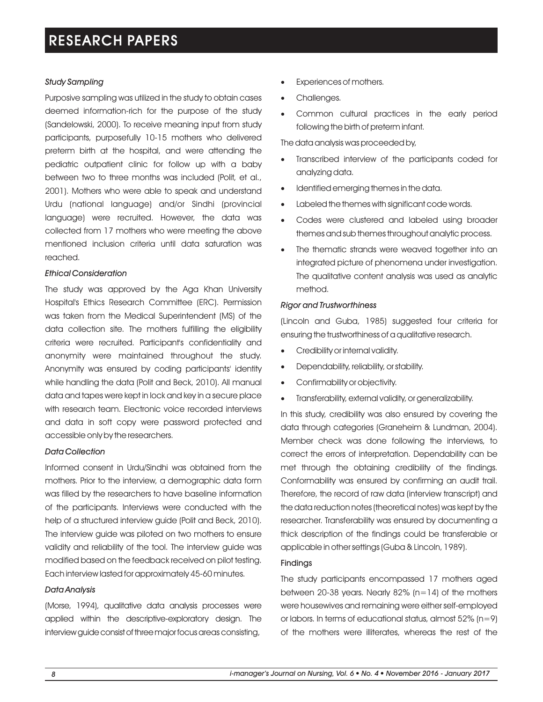### *Study Sampling*

Purposive sampling was utilized in the study to obtain cases deemed information-rich for the purpose of the study (Sandelowski, 2000). To receive meaning input from study participants, purposefully 10-15 mothers who delivered preterm birth at the hospital, and were attending the pediatric outpatient clinic for follow up with a baby between two to three months was included (Polit, et al., 2001). Mothers who were able to speak and understand Urdu (national language) and/or Sindhi (provincial language) were recruited. However, the data was collected from 17 mothers who were meeting the above mentioned inclusion criteria until data saturation was reached.

### *Ethical Consideration*

The study was approved by the Aga Khan University Hospital's Ethics Research Committee (ERC). Permission was taken from the Medical Superintendent (MS) of the data collection site. The mothers fulfilling the eligibility criteria were recruited. Participant's confidentiality and anonymity were maintained throughout the study. Anonymity was ensured by coding participants' identity while handling the data (Polit and Beck, 2010). All manual data and tapes were kept in lock and key in a secure place with research team. Electronic voice recorded interviews and data in soft copy were password protected and accessible only by the researchers.

### *Data Collection*

Informed consent in Urdu/Sindhi was obtained from the mothers. Prior to the interview, a demographic data form was filled by the researchers to have baseline information of the participants. Interviews were conducted with the help of a structured interview guide (Polit and Beck, 2010). The interview guide was piloted on two mothers to ensure validity and reliability of the tool. The interview guide was modified based on the feedback received on pilot testing. Each interview lasted for approximately 45-60 minutes.

### *Data Analysis*

(Morse, 1994), qualitative data analysis processes were applied within the descriptive-exploratory design. The interview guide consist of three major focus areas consisting,

- Experiences of mothers.
- Challenges.
- ·· Common cultural practices in the early period following the birth of preterm infant.

The data analysis was proceeded by,

- ·T ranscribed interview of the participants coded for analyzing data.
- Identified emerging themes in the data.
- Id<br>• La<br>• Ca Labeled the themes with significant code words.
- Codes were clustered and labeled using broader themes and sub themes throughout analytic process.
- · The thematic strands were weaved together into an integrated picture of phenomena under investigation. The qualitative content analysis was used as analytic method.

### *Rigor and Trustworthiness*

(Lincoln and Guba, 1985) suggested four criteria for ensuring the trustworthiness of a qualitative research.

- Credibility or internal validity.
- Credibility or internal validity.<br>• Dependability, reliability, or stability.
- Confirmability or objectivity.
- ·· Transferability, external validity, or generalizability.

In this study, credibility was also ensured by covering the data through categories (Graneheim & Lundman, 2004). Member check was done following the interviews, to correct the errors of interpretation. Dependability can be met through the obtaining credibility of the findings. Conformability was ensured by confirming an audit trail. Therefore, the record of raw data (interview transcript) and the data reduction notes (theoretical notes) was kept by the researcher. Transferability was ensured by documenting a thick description of the findings could be transferable or applicable in other settings (Guba & Lincoln, 1989).

### Findings

The study participants encompassed 17 mothers aged between 20-38 years. Nearly 82%  $(n=14)$  of the mothers were housewives and remaining were either self-employed or labors. In terms of educational status, almost  $52\%$  (n=9) of the mothers were illiterates, whereas the rest of the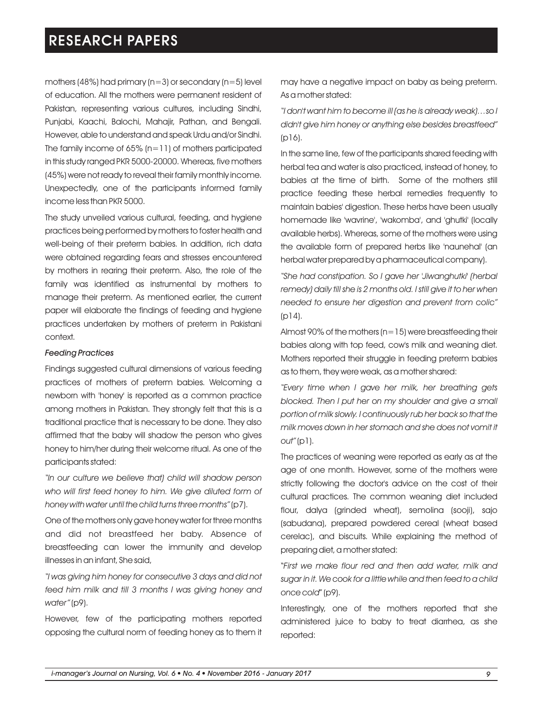mothers (48%) had primary ( $n=3$ ) or secondary ( $n=5$ ) level of education. All the mothers were permanent resident of Pakistan, representing various cultures, including Sindhi, Punjabi, Kaachi, Balochi, Mahajir, Pathan, and Bengali. However, able to understand and speak Urdu and/or Sindhi. The family income of 65%  $(n=11)$  of mothers participated in this study ranged PKR 5000-20000. Whereas, five mothers (45%) were not ready to reveal their family monthly income. Unexpectedly, one of the participants informed family income less than PKR 5000.

The study unveiled various cultural, feeding, and hygiene practices being performed by mothers to foster health and well-being of their preterm babies. In addition, rich data were obtained regarding fears and stresses encountered by mothers in rearing their preterm. Also, the role of the family was identified as instrumental by mothers to manage their preterm. As mentioned earlier, the current paper will elaborate the findings of feeding and hygiene practices undertaken by mothers of preterm in Pakistani context.

#### *Feeding Practices*

Findings suggested cultural dimensions of various feeding practices of mothers of preterm babies. Welcoming a newborn with 'honey' is reported as a common practice among mothers in Pakistan. They strongly felt that this is a traditional practice that is necessary to be done. They also affirmed that the baby will shadow the person who gives honey to him/her during their welcome ritual. As one of the participants stated:

*"In our culture we believe that) child will shadow person who will first feed honey to him. We give diluted form of honey with water until the child turns three months"* (p7).

One of the mothers only gave honey water for three months and did not breastfeed her baby. Absence of breastfeeding can lower the immunity and develop illnesses in an infant, She said,

*"I was giving him honey for consecutive 3 days and did not feed him milk and till 3 months I was giving honey and water"* (p9).

However, few of the participating mothers reported opposing the cultural norm of feeding honey as to them it may have a negative impact on baby as being preterm. As a mother stated:

*"I don't want him to become ill (as he is already weak)…so I didn't give him honey or anything else besides breastfeed"* (p16).

In the same line, few of the participants shared feeding with herbal tea and water is also practiced, instead of honey, to babies at the time of birth. Some of the mothers still practice feeding these herbal remedies frequently to maintain babies' digestion. These herbs have been usually homemade like 'wavrine', 'wakomba', and 'ghutki' (locally available herbs). Whereas, some of the mothers were using the available form of prepared herbs like 'naunehal' (an herbal water prepared by a pharmaceutical company).

*"She had constipation. So I gave her 'Jiwanghutki' (herbal remedy) daily till she is 2 months old. I still give it to her when needed to ensure her digestion and prevent from colic"*  (p14).

Almost 90% of the mothers ( $n=15$ ) were breastfeeding their babies along with top feed, cow's milk and weaning diet. Mothers reported their struggle in feeding preterm babies as to them, they were weak, as a mother shared:

*"Every time when I gave her milk, her breathing gets blocked. Then I put her on my shoulder and give a small portion of milk slowly. I continuously rub her back so that the milk moves down in her stomach and she does not vomit it out"* (p1).

The practices of weaning were reported as early as at the age of one month. However, some of the mothers were strictly following the doctor's advice on the cost of their cultural practices. The common weaning diet included flour, dalya (grinded wheat), semolina (sooji), sajo (sabudana), prepared powdered cereal (wheat based cerelac), and biscuits. While explaining the method of preparing diet, a mother stated:

"*First we make flour red and then add water, milk and sugar in it. We cook for a little while and then feed to a child once cold*" (p9).

Interestingly, one of the mothers reported that she administered juice to baby to treat diarrhea, as she reported: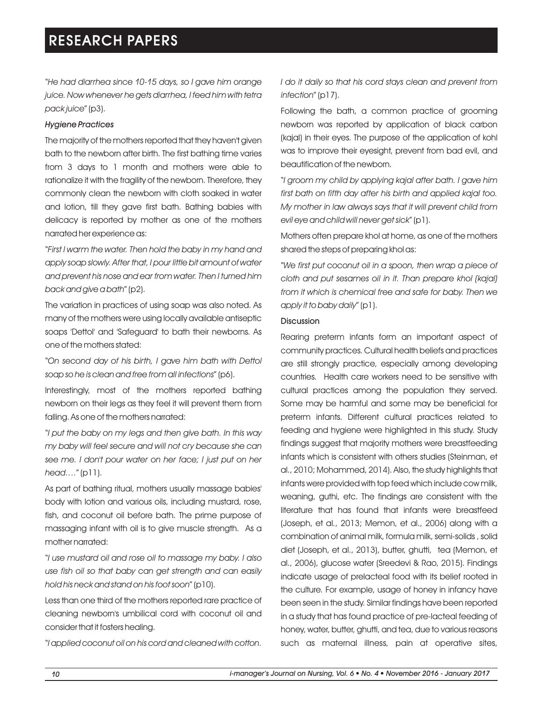"*He had diarrhea since 10-15 days, so I gave him orange juice. Now whenever he gets diarrhea, I feed him with tetra pack juice*" (p3).

### *Hygiene Practices*

The majority of the mothers reported that they haven't given bath to the newborn after birth. The first bathing time varies from 3 days to 1 month and mothers were able to rationalize it with the fragility of the newborn. Therefore, they commonly clean the newborn with cloth soaked in water and lotion, till they gave first bath. Bathing babies with delicacy is reported by mother as one of the mothers narrated her experience as:

"*First I warm the water. Then hold the baby in my hand and apply soap slowly. After that, I pour little bit amount of water and prevent his nose and ear from water. Then I turned him back and give a bath*" (p2).

The variation in practices of using soap was also noted. As many of the mothers were using locally available antiseptic soaps 'Dettol' and 'Safeguard' to bath their newborns. As one of the mothers stated:

"*On second day of his birth, I gave him bath with Dettol soap so he is clean and free from all infections*" (p6).

Interestingly, most of the mothers reported bathing newborn on their legs as they feel it will prevent them from falling. As one of the mothers narrated:

"*I put the baby on my legs and then give bath. In this way my baby will feel secure and will not cry because she can see me. I don't pour water on her face; I just put on her head….*" (p11).

As part of bathing ritual, mothers usually massage babies' body with lotion and various oils, including mustard, rose, fish, and coconut oil before bath. The prime purpose of massaging infant with oil is to give muscle strength. As a mother narrated:

"*I use mustard oil and rose oil to massage my baby. I also use fish oil so that baby can get strength and can easily hold his neck and stand on his foot soon*" (p10).

Less than one third of the mothers reported rare practice of cleaning newborn's umbilical cord with coconut oil and consider that it fosters healing.

"*I applied coconut oil on his cord and cleaned with cotton.* 

*I do it daily so that his cord stays clean and prevent from infection*" (p17).

Following the bath, a common practice of grooming newborn was reported by application of black carbon (kajal) in their eyes. The purpose of the application of kohl was to improve their eyesight, prevent from bad evil, and beautification of the newborn.

"*I groom my child by applying kajal after bath. I gave him first bath on fifth day after his birth and applied kajal too. My mother in law always says that it will prevent child from evil eye and child will never get sick*" (p1).

Mothers often prepare khol at home, as one of the mothers shared the steps of preparing khol as:

"*We first put coconut oil in a spoon, then wrap a piece of cloth and put sesames oil in it. Than prepare khol (kajal) from it which is chemical free and safe for baby. Then we apply it to baby daily*" (p1).

### Discussion

Rearing preterm infants form an important aspect of community practices. Cultural health beliefs and practices are still strongly practice, especially among developing countries. Health care workers need to be sensitive with cultural practices among the population they served. Some may be harmful and some may be beneficial for preterm infants. Different cultural practices related to feeding and hygiene were highlighted in this study. Study findings suggest that majority mothers were breastfeeding infants which is consistent with others studies (Steinman, et al., 2010; Mohammed, 2014). Also, the study highlights that infants were provided with top feed which include cow milk, weaning, guthi, etc. The findings are consistent with the literature that has found that infants were breastfeed (Joseph, et al., 2013; Memon, et al., 2006) along with a combination of animal milk, formula milk, semi-solids , solid diet (Joseph, et al., 2013), butter, ghutti, tea (Memon, et al., 2006), glucose water (Sreedevi & Rao, 2015). Findings indicate usage of prelacteal food with its belief rooted in the culture. For example, usage of honey in infancy have been seen in the study. Similar findings have been reported in a study that has found practice of pre-lacteal feeding of honey, water, butter, ghutti, and tea, due to various reasons such as maternal illness, pain at operative sites,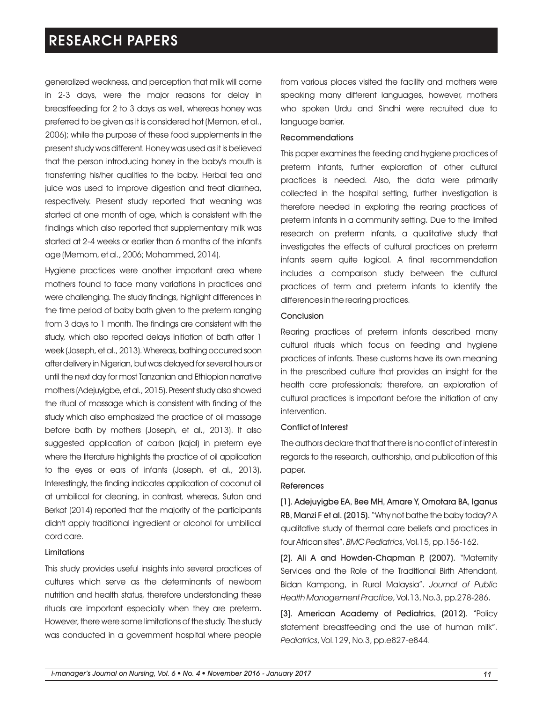generalized weakness, and perception that milk will come in 2-3 days, were the major reasons for delay in breastfeeding for 2 to 3 days as well, whereas honey was preferred to be given as it is considered hot (Memon, et al., 2006); while the purpose of these food supplements in the present study was different. Honey was used as it is believed that the person introducing honey in the baby's mouth is transferring his/her qualities to the baby. Herbal tea and juice was used to improve digestion and treat diarrhea, respectively. Present study reported that weaning was started at one month of age, which is consistent with the findings which also reported that supplementary milk was started at 2-4 weeks or earlier than 6 months of the infant's age (Memom, et al., 2006; Mohammed, 2014).

Hygiene practices were another important area where mothers found to face many variations in practices and were challenging. The study findings, highlight differences in the time period of baby bath given to the preterm ranging from 3 days to 1 month. The findings are consistent with the study, which also reported delays initiation of bath after 1 week (Joseph, et al., 2013). Whereas, bathing occurred soon after delivery in Nigerian, but was delayed forseveral hours or until the next day for most Tanzanian and Ethiopian narrative mothers (Adejuyigbe, et al., 2015). Present study also showed the ritual of massage which is consistent with finding of the study which also emphasized the practice of oil massage before bath by mothers (Joseph, et al., 2013). It also suggested application of carbon (kajal) in preterm eye where the literature highlights the practice of oil application to the eyes or ears of infants (Joseph, et al., 2013). Interestingly, the finding indicates application of coconut oil at umbilical for cleaning, in contrast, whereas, Sutan and Berkat (2014) reported that the majority of the participants didn't apply traditional ingredient or alcohol for umbilical cord care.

#### Limitations

This study provides useful insights into several practices of cultures which serve as the determinants of newborn nutrition and health status, therefore understanding these rituals are important especially when they are preterm. However, there were some limitations of the study. The study was conducted in a government hospital where people from various places visited the facility and mothers were speaking many different languages, however, mothers who spoken Urdu and Sindhi were recruited due to language barrier.

#### Recommendations

This paper examines the feeding and hygiene practices of preterm infants, further exploration of other cultural practices is needed. Also, the data were primarily collected in the hospital setting, further investigation is therefore needed in exploring the rearing practices of preterm infants in a community setting. Due to the limited research on preterm infants, a qualitative study that investigates the effects of cultural practices on preterm infants seem quite logical. A final recommendation includes a comparison study between the cultural practices of term and preterm infants to identify the differences in the rearing practices.

#### Conclusion

Rearing practices of preterm infants described many cultural rituals which focus on feeding and hygiene practices of infants. These customs have its own meaning in the prescribed culture that provides an insight for the health care professionals; therefore, an exploration of cultural practices is important before the initiation of any intervention.

#### Conflict of Interest

The authors declare that that there is no conflict of interest in regards to the research, authorship, and publication of this paper.

#### References

[1]. Adejuyigbe EA, Bee MH, Amare Y, Omotara BA, Iganus RB, Manzi F et al. (2015). "Why not bathe the baby today? A qualitative study of thermal care beliefs and practices in four African sites". *BMC Pediatrics*, Vol.15, pp.156-162.

[2]. Ali A and Howden-Chapman P, (2007). "Maternity Services and the Role of the Traditional Birth Attendant, Bidan Kampong, in Rural Malaysia". *Journal of Public Health Management Practice*, Vol.13, No.3, pp.278-286.

[3]. American Academy of Pediatrics, (2012). "Policy statement breastfeeding and the use of human milk". *Pediatrics*, Vol.129, No.3, pp.e827-e844.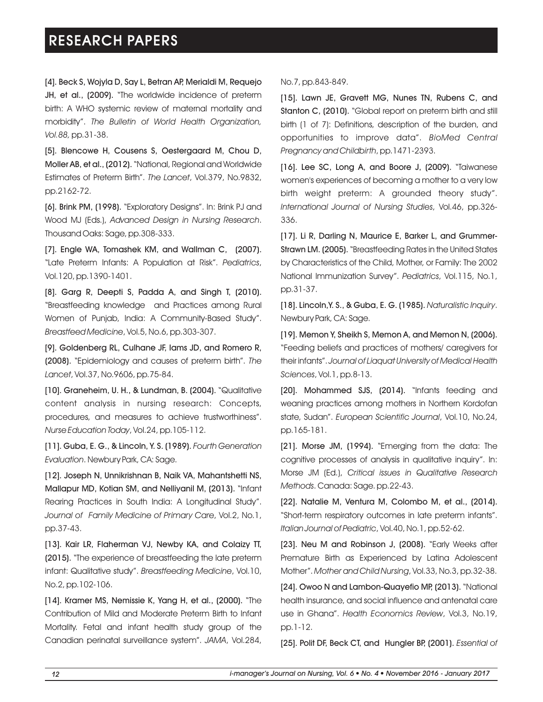[4]. Beck S, Wojyla D, Say L, Betran AP, Merialdi M, Requejo JH, et al., (2009). "The worldwide incidence of preterm birth: A WHO systemic review of maternal mortality and morbidity". *The Bulletin of World Health Organization, Vol.88,* pp.31-38.

[5]. Blencowe H, Cousens S, Oestergaard M, Chou D, Moller AB, et al., (2012). "National, Regional and Worldwide Estimates of Preterm Birth". *The Lancet*, Vol.379, No.9832, pp.2162-72.

[6]. Brink PM, (1998). "Exploratory Designs". In: Brink PJ and Wood MJ (Eds.), *Advanced Design in Nursing Research*. Thousand Oaks: Sage, pp.308-333.

[7]. Engle WA, Tomashek KM, and Wallman C, (2007). "Late Preterm Infants: A Population at Risk". *Pediatrics*, Vol.120, pp.1390-1401.

[8]. Garg R, Deepti S, Padda A, and Singh T, (2010). "Breastfeeding knowledge and Practices among Rural Women of Punjab, India: A Community-Based Study". *Breastfeed Medicine*, Vol.5, No.6, pp.303-307.

[9]. Goldenberg RL, Culhane JF, Iams JD, and Romero R, (2008). "Epidemiology and causes of preterm birth". *The Lancet*, Vol.37, No.9606, pp.75-84.

[10]. Graneheim, U. H., & Lundman, B. (2004). "Qualitative content analysis in nursing research: Concepts, procedures, and measures to achieve trustworthiness". *Nurse Education Today*, Vol.24, pp.105-112.

[11]. Guba, E. G., & Lincoln, Y. S. (1989). *Fourth Generation Evaluation*. Newbury Park, CA: Sage.

[12]. Joseph N, Unnikrishnan B, Naik VA, Mahantshetti NS, Mallapur MD, Kotian SM, and Nelliyanil M, (2013). "Infant Rearing Practices in South India: A Longitudinal Study". *Journal of Family Medicine of Primary Care*, Vol.2, No.1, pp.37-43.

[13]. Kair LR, Flaherman VJ, Newby KA, and Colaizy TT, (2015). "The experience of breastfeeding the late preterm infant: Qualitative study". *Breastfeeding Medicine*, Vol.10, No.2, pp.102-106.

[14]. Kramer MS, Nemissie K, Yang H, et al., (2000). "The Contribution of Mild and Moderate Preterm Birth to Infant Mortality. Fetal and infant health study group of the Canadian perinatal surveillance system". *JAMA*, Vol.284,

### No.7, pp.843-849.

[15]. Lawn JE, Gravett MG, Nunes TN, Rubens C, and Stanton C, (2010). "Global report on preterm birth and still birth (1 of 7): Definitions, description of the burden, and opportunities to improve data". *BioMed Central Pregnancy and Childbirth*, pp.1471-2393.

[16]. Lee SC, Long A, and Boore J, (2009). "Taiwanese women's experiences of becoming a mother to a very low birth weight preterm: A grounded theory study". *International Journal of Nursing Studies*, Vol.46, pp.326- 336.

[17]. Li R, Darling N, Maurice E, Barker L, and Grummer-Strawn LM. (2005). "Breastfeeding Rates in the United States by Characteristics of the Child, Mother, or Family: The 2002 National Immunization Survey". *Pediatrics*, Vol.115, No.1, pp.31-37.

[18]. Lincoln,Y. S., & Guba, E. G. (1985). *Naturalistic Inquiry*. Newbury Park, CA: Sage.

[19]. Memon Y, Sheikh S, Memon A, and Memon N, (2006). "Feeding beliefs and practices of mothers/ caregivers for their infants". *Journal of Liaquat University of Medical Health Sciences*, Vol.1, pp.8-13.

[20]. Mohammed SJS, (2014). "Infants feeding and weaning practices among mothers in Northern Kordofan state, Sudan". *European Scientific Journal*, Vol.10, No.24, pp.165-181.

[21]. Morse JM, (1994). "Emerging from the data: The cognitive processes of analysis in qualitative inquiry". In: Morse JM (Ed.), *Critical issues in Qualitative Research Methods*. Canada: Sage. pp.22-43.

[22]. Natalie M, Ventura M, Colombo M, et al., (2014). "Short-term respiratory outcomes in late preterm infants". *Italian Journal of Pediatric*, Vol.40, No.1, pp.52-62.

[23]. Neu M and Robinson J, (2008). "Early Weeks after Premature Birth as Experienced by Latina Adolescent Mother". *Mother and Child Nursing*, Vol.33, No.3, pp.32-38.

[24]. Owoo N and Lambon-Quayefio MP, (2013). "National health insurance, and social influence and antenatal care use in Ghana". *Health Economics Review*, Vol.3, No.19, pp.1-12.

[25]. Polit DF, Beck CT, and Hungler BP, (2001). *Essential of*